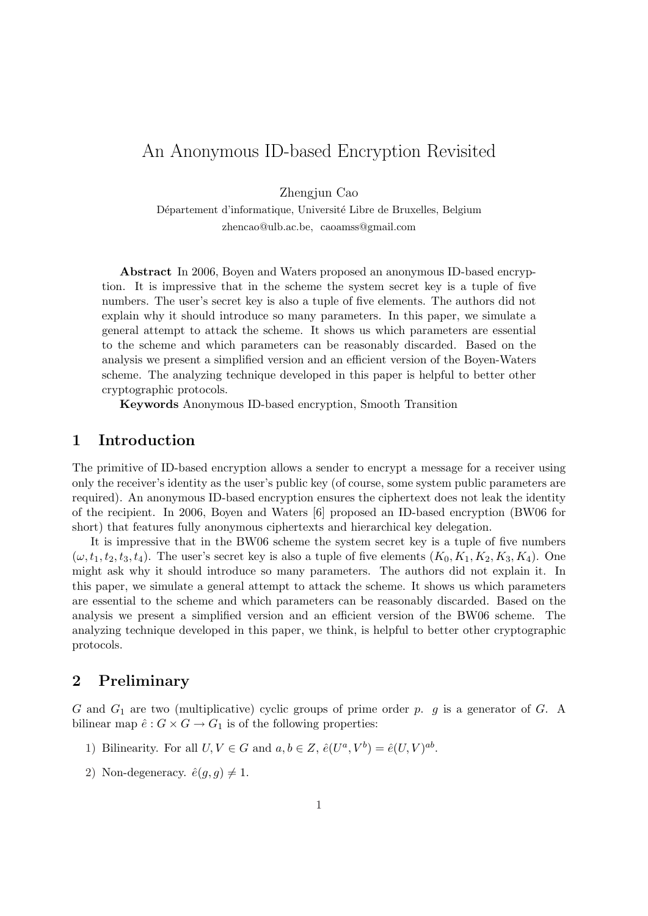# An Anonymous ID-based Encryption Revisited

Zhengjun Cao

Département d'informatique, Université Libre de Bruxelles, Belgium zhencao@ulb.ac.be, caoamss@gmail.com

Abstract In 2006, Boyen and Waters proposed an anonymous ID-based encryption. It is impressive that in the scheme the system secret key is a tuple of five numbers. The user's secret key is also a tuple of five elements. The authors did not explain why it should introduce so many parameters. In this paper, we simulate a general attempt to attack the scheme. It shows us which parameters are essential to the scheme and which parameters can be reasonably discarded. Based on the analysis we present a simplified version and an efficient version of the Boyen-Waters scheme. The analyzing technique developed in this paper is helpful to better other cryptographic protocols.

Keywords Anonymous ID-based encryption, Smooth Transition

# 1 Introduction

The primitive of ID-based encryption allows a sender to encrypt a message for a receiver using only the receiver's identity as the user's public key (of course, some system public parameters are required). An anonymous ID-based encryption ensures the ciphertext does not leak the identity of the recipient. In 2006, Boyen and Waters [6] proposed an ID-based encryption (BW06 for short) that features fully anonymous ciphertexts and hierarchical key delegation.

It is impressive that in the BW06 scheme the system secret key is a tuple of five numbers  $(\omega, t_1, t_2, t_3, t_4)$ . The user's secret key is also a tuple of five elements  $(K_0, K_1, K_2, K_3, K_4)$ . One might ask why it should introduce so many parameters. The authors did not explain it. In this paper, we simulate a general attempt to attack the scheme. It shows us which parameters are essential to the scheme and which parameters can be reasonably discarded. Based on the analysis we present a simplified version and an efficient version of the BW06 scheme. The analyzing technique developed in this paper, we think, is helpful to better other cryptographic protocols.

# 2 Preliminary

G and  $G_1$  are two (multiplicative) cyclic groups of prime order p. g is a generator of G. A bilinear map  $\hat{e}: G \times G \to G_1$  is of the following properties:

- 1) Bilinearity. For all  $U, V \in G$  and  $a, b \in Z$ ,  $\hat{e}(U^a, V^b) = \hat{e}(U, V)^{ab}$ .
- 2) Non-degeneracy.  $\hat{e}(g, g) \neq 1$ .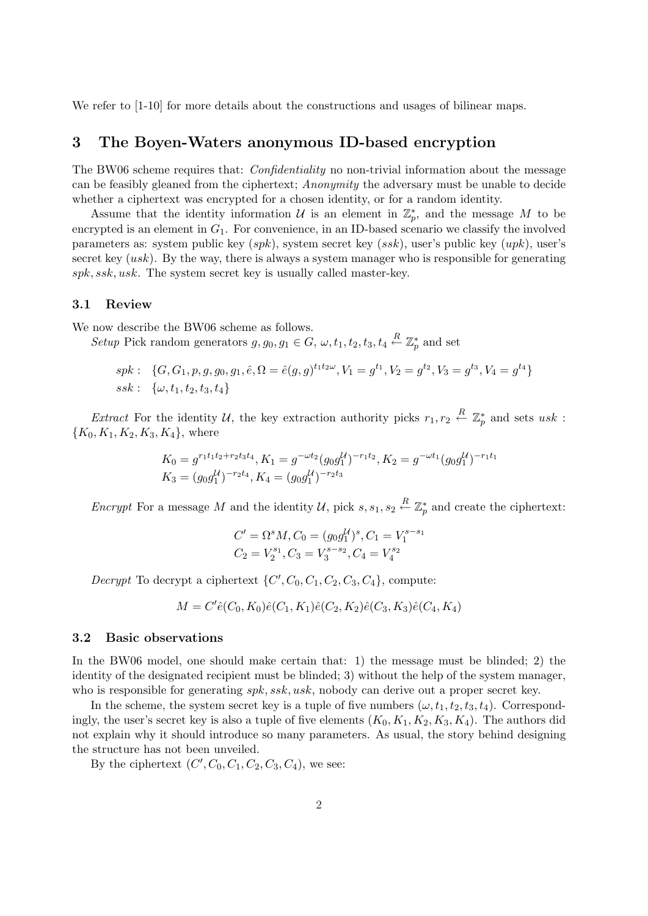We refer to  $[1-10]$  for more details about the constructions and usages of bilinear maps.

### 3 The Boyen-Waters anonymous ID-based encryption

The BW06 scheme requires that: *Confidentiality* no non-trivial information about the message can be feasibly gleaned from the ciphertext; Anonymity the adversary must be unable to decide whether a ciphertext was encrypted for a chosen identity, or for a random identity.

Assume that the identity information  $\mathcal U$  is an element in  $\mathbb Z_p^*$ , and the message M to be encrypted is an element in  $G_1$ . For convenience, in an ID-based scenario we classify the involved parameters as: system public key  $(spk)$ , system secret key  $(ssk)$ , user's public key  $(upk)$ , user's secret key  $(usk)$ . By the way, there is always a system manager who is responsible for generating spk, ssk, usk. The system secret key is usually called master-key.

#### 3.1 Review

We now describe the BW06 scheme as follows.

Setup Pick random generators  $g, g_0, g_1 \in G$ ,  $\omega, t_1, t_2, t_3, t_4 \stackrel{R}{\leftarrow} \mathbb{Z}_p^*$  and set

$$
spk: \{G, G_1, p, g, g_0, g_1, \hat{e}, \Omega = \hat{e}(g, g)^{t_1 t_2 \omega}, V_1 = g^{t_1}, V_2 = g^{t_2}, V_3 = g^{t_3}, V_4 = g^{t_4}\}
$$
  

$$
ssk: \{\omega, t_1, t_2, t_3, t_4\}
$$

*Extract* For the identity U, the key extraction authority picks  $r_1, r_2 \stackrel{R}{\leftarrow} \mathbb{Z}_p^*$  and sets usk:  ${K_0, K_1, K_2, K_3, K_4}$ , where

$$
K_0 = g^{r_1 t_1 t_2 + r_2 t_3 t_4}, K_1 = g^{-\omega t_2} (g_0 g_1^{\mathcal{U}})^{-r_1 t_2}, K_2 = g^{-\omega t_1} (g_0 g_1^{\mathcal{U}})^{-r_1 t_1}
$$
  

$$
K_3 = (g_0 g_1^{\mathcal{U}})^{-r_2 t_4}, K_4 = (g_0 g_1^{\mathcal{U}})^{-r_2 t_3}
$$

Encrypt For a message M and the identity U, pick  $s, s_1, s_2 \stackrel{R}{\leftarrow} \mathbb{Z}_p^*$  and create the ciphertext:

$$
C' = \Omega^s M, C_0 = (g_0 g_1^U)^s, C_1 = V_1^{s-s_1}
$$
  

$$
C_2 = V_2^{s_1}, C_3 = V_3^{s-s_2}, C_4 = V_4^{s_2}
$$

Decrypt To decrypt a ciphertext  $\{C', C_0, C_1, C_2, C_3, C_4\}$ , compute:

$$
M = C'\hat{e}(C_0, K_0)\hat{e}(C_1, K_1)\hat{e}(C_2, K_2)\hat{e}(C_3, K_3)\hat{e}(C_4, K_4)
$$

#### 3.2 Basic observations

In the BW06 model, one should make certain that: 1) the message must be blinded; 2) the identity of the designated recipient must be blinded; 3) without the help of the system manager, who is responsible for generating  $spk, ssk, usk$ , nobody can derive out a proper secret key.

In the scheme, the system secret key is a tuple of five numbers  $(\omega, t_1, t_2, t_3, t_4)$ . Correspondingly, the user's secret key is also a tuple of five elements  $(K_0, K_1, K_2, K_3, K_4)$ . The authors did not explain why it should introduce so many parameters. As usual, the story behind designing the structure has not been unveiled.

By the ciphertext  $(C', C_0, C_1, C_2, C_3, C_4)$ , we see: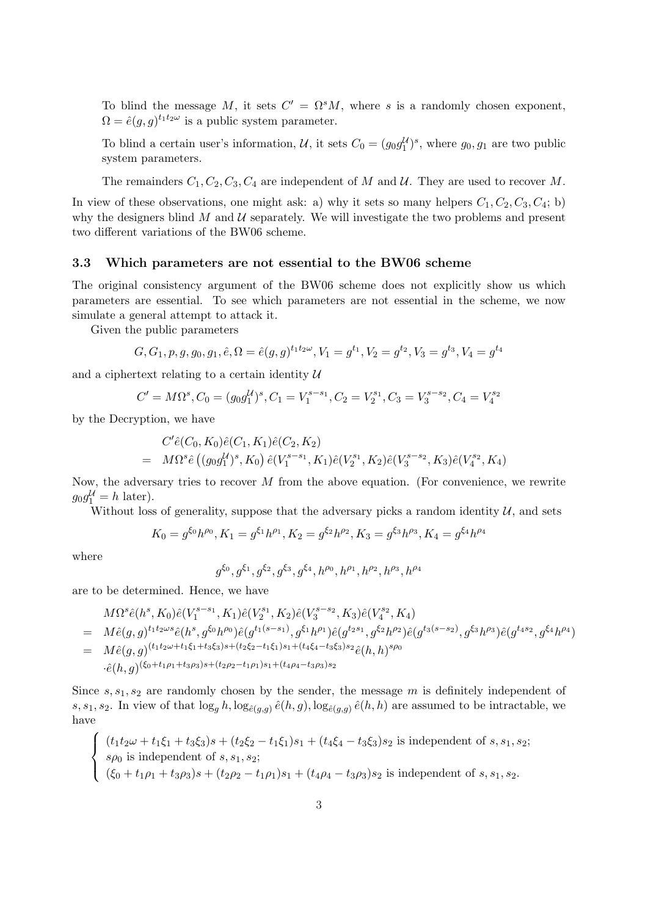To blind the message M, it sets  $C' = \Omega^s M$ , where s is a randomly chosen exponent,  $\Omega = \hat{e}(g, g)^{t_1 t_2 \omega}$  is a public system parameter.

To blind a certain user's information, U, it sets  $C_0 = (g_0 g_1^U)^s$ , where  $g_0, g_1$  are two public system parameters.

The remainders  $C_1, C_2, C_3, C_4$  are independent of M and U. They are used to recover M.

In view of these observations, one might ask: a) why it sets so many helpers  $C_1, C_2, C_3, C_4$ ; b) why the designers blind  $M$  and  $U$  separately. We will investigate the two problems and present two different variations of the BW06 scheme.

#### 3.3 Which parameters are not essential to the BW06 scheme

The original consistency argument of the BW06 scheme does not explicitly show us which parameters are essential. To see which parameters are not essential in the scheme, we now simulate a general attempt to attack it.

Given the public parameters

$$
G, G_1, p, g, g_0, g_1, \hat{e}, \Omega = \hat{e}(g, g)^{t_1 t_2 \omega}, V_1 = g^{t_1}, V_2 = g^{t_2}, V_3 = g^{t_3}, V_4 = g^{t_4}
$$

and a ciphertext relating to a certain identity  $U$ 

$$
C' = M\Omega^s, C_0 = (g_0 g_1^{\mathcal{U}})^s, C_1 = V_1^{s-s_1}, C_2 = V_2^{s_1}, C_3 = V_3^{s-s_2}, C_4 = V_4^{s_2}
$$

by the Decryption, we have

$$
C'\hat{e}(C_0, K_0)\hat{e}(C_1, K_1)\hat{e}(C_2, K_2)
$$
  
= 
$$
M\Omega^s\hat{e}((g_0g_1^{\mathcal{U}})^s, K_0)\hat{e}(V_1^{s-s_1}, K_1)\hat{e}(V_2^{s_1}, K_2)\hat{e}(V_3^{s-s_2}, K_3)\hat{e}(V_4^{s_2}, K_4)
$$

Now, the adversary tries to recover  $M$  from the above equation. (For convenience, we rewrite  $g_0 g_1^{\mathcal{U}} = h$  later).

Without loss of generality, suppose that the adversary picks a random identity  $U$ , and sets

$$
K_0 = g^{\xi_0} h^{\rho_0}, K_1 = g^{\xi_1} h^{\rho_1}, K_2 = g^{\xi_2} h^{\rho_2}, K_3 = g^{\xi_3} h^{\rho_3}, K_4 = g^{\xi_4} h^{\rho_4}
$$

where

 $\left($ 

 $\mathcal{L}$ 

$$
g^{\xi_0}, g^{\xi_1}, g^{\xi_2}, g^{\xi_3}, g^{\xi_4}, h^{\rho_0}, h^{\rho_1}, h^{\rho_2}, h^{\rho_3}, h^{\rho_4}
$$

are to be determined. Hence, we have

$$
M\Omega^{s}\hat{e}(h^{s}, K_{0})\hat{e}(V_{1}^{s-s_{1}}, K_{1})\hat{e}(V_{2}^{s_{1}}, K_{2})\hat{e}(V_{3}^{s-s_{2}}, K_{3})\hat{e}(V_{4}^{s_{2}}, K_{4})
$$
  
\n
$$
= M\hat{e}(g,g)^{t_{1}t_{2}\omega s}\hat{e}(h^{s}, g^{\xi_{0}}h^{\rho_{0}})\hat{e}(g^{t_{1}(s-s_{1})}, g^{\xi_{1}}h^{\rho_{1}})\hat{e}(g^{t_{2}s_{1}}, g^{\xi_{2}}h^{\rho_{2}})\hat{e}(g^{t_{3}(s-s_{2})}, g^{\xi_{3}}h^{\rho_{3}})\hat{e}(g^{t_{4}s_{2}}, g^{\xi_{4}}h^{\rho_{4}})
$$
  
\n
$$
= M\hat{e}(g,g)^{(t_{1}t_{2}\omega+t_{1}\xi_{1}+t_{3}\xi_{3})s+(t_{2}\xi_{2}-t_{1}\xi_{1})s_{1}+(t_{4}\xi_{4}-t_{3}\xi_{3})s_{2}}\hat{e}(h,h)^{s\rho_{0}}
$$
  
\n
$$
\cdot\hat{e}(h,g)^{(\xi_{0}+t_{1}\rho_{1}+t_{3}\rho_{3})s+(t_{2}\rho_{2}-t_{1}\rho_{1})s_{1}+(t_{4}\rho_{4}-t_{3}\rho_{3})s_{2}}
$$

Since  $s, s_1, s_2$  are randomly chosen by the sender, the message  $m$  is definitely independent of s, s<sub>1</sub>, s<sub>2</sub>. In view of that  $\log_g h$ ,  $\log_{\hat{e}(g,g)} \hat{e}(h,g)$ ,  $\log_{\hat{e}(g,g)} \hat{e}(h,h)$  are assumed to be intractable, we have  $\frac{1}{\sqrt{2}}$ 

$$
(t_1t_2\omega + t_1\xi_1 + t_3\xi_3)s + (t_2\xi_2 - t_1\xi_1)s_1 + (t_4\xi_4 - t_3\xi_3)s_2
$$
 is independent of  $s, s_1, s_2$ ;  
 $s\rho_0$  is independent of  $s, s_1, s_2$ ;  
 $(\xi_0 + t_1\rho_1 + t_3\rho_3)s + (t_2\rho_2 - t_1\rho_1)s_1 + (t_4\rho_4 - t_3\rho_3)s_2$  is independent of  $s, s_1, s_2$ .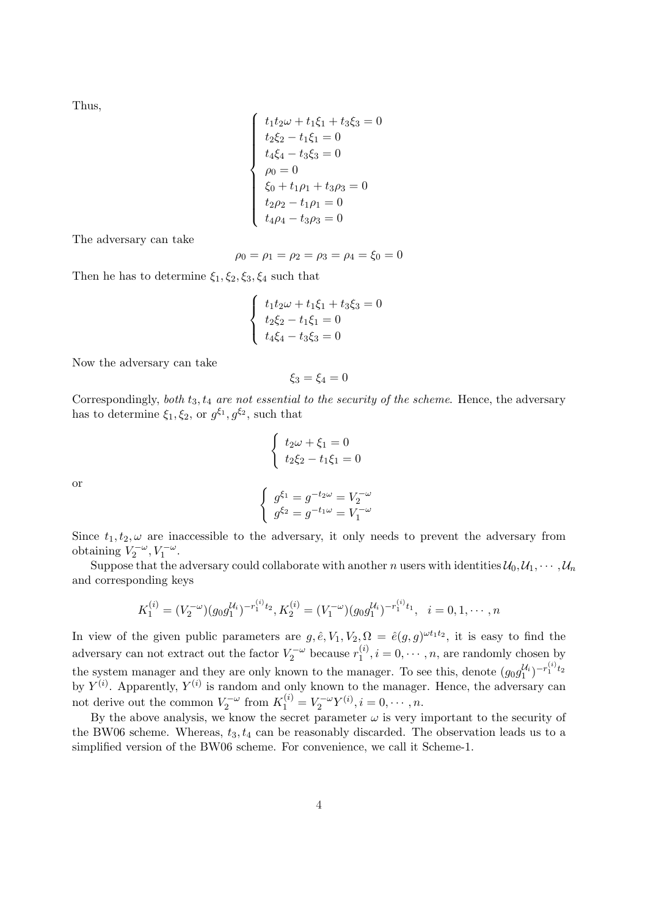Thus,

$$
\begin{cases}\n t_1 t_2 \omega + t_1 \xi_1 + t_3 \xi_3 = 0 \\
 t_2 \xi_2 - t_1 \xi_1 = 0 \\
 t_4 \xi_4 - t_3 \xi_3 = 0 \\
 \rho_0 = 0 \\
 \xi_0 + t_1 \rho_1 + t_3 \rho_3 = 0 \\
 t_2 \rho_2 - t_1 \rho_1 = 0 \\
 t_4 \rho_4 - t_3 \rho_3 = 0\n\end{cases}
$$

The adversary can take

$$
\rho_0 = \rho_1 = \rho_2 = \rho_3 = \rho_4 = \xi_0 = 0
$$

Then he has to determine  $\xi_1, \xi_2, \xi_3, \xi_4$  such that

$$
\begin{cases}\n t_1 t_2 \omega + t_1 \xi_1 + t_3 \xi_3 = 0 \\
 t_2 \xi_2 - t_1 \xi_1 = 0 \\
 t_4 \xi_4 - t_3 \xi_3 = 0\n\end{cases}
$$

Now the adversary can take

$$
\xi_3=\xi_4=0
$$

Correspondingly, both  $t_3, t_4$  are not essential to the security of the scheme. Hence, the adversary has to determine  $\xi_1, \xi_2$ , or  $g^{\xi_1}, g^{\xi_2}$ , such that

$$
\begin{cases}\nt_2\omega + \xi_1 = 0 \\
t_2\xi_2 - t_1\xi_1 = 0\n\end{cases}
$$
\n
$$
\begin{cases}\ng^{\xi_1} = g^{-t_2\omega} = V_2^{-\omega} \\
g^{\xi_2} = g^{-t_1\omega} = V_1^{-\omega}\n\end{cases}
$$

or

Since  $t_1, t_2, \omega$  are inaccessible to the adversary, it only needs to prevent the adversary from obtaining  $V_2^{-\omega}$ ,  $V_1^{-\omega}$ .

Suppose that the adversary could collaborate with another n users with identities  $\mathcal{U}_0, \mathcal{U}_1, \cdots, \mathcal{U}_n$ and corresponding keys

$$
K_1^{(i)} = (V_2^{-\omega})(g_0 g_1^{U_i})^{-r_1^{(i)}t_2}, K_2^{(i)} = (V_1^{-\omega})(g_0 g_1^{U_i})^{-r_1^{(i)}t_1}, \quad i = 0, 1, \cdots, n
$$

In view of the given public parameters are  $g, \hat{e}, V_1, V_2, \Omega = \hat{e}(g, g)^{\omega t_1 t_2}$ , it is easy to find the adversary can not extract out the factor  $V_2^{-\omega}$  because  $r_1^{(i)}$  $n_1^{(i)}$ ,  $i = 0, \dots, n$ , are randomly chosen by the system manager and they are only known to the manager. To see this, denote  $(g_0 g_1^{\mathcal{U}_i})^{-r_1^{(i)}t_2}$ by  $Y^{(i)}$ . Apparently,  $Y^{(i)}$  is random and only known to the manager. Hence, the adversary can not derive out the common  $V_2^{-\omega}$  from  $K_1^{(i)} = V_2^{-\omega} Y^{(i)}, i = 0, \cdots, n$ .

By the above analysis, we know the secret parameter  $\omega$  is very important to the security of the BW06 scheme. Whereas,  $t_3, t_4$  can be reasonably discarded. The observation leads us to a simplified version of the BW06 scheme. For convenience, we call it Scheme-1.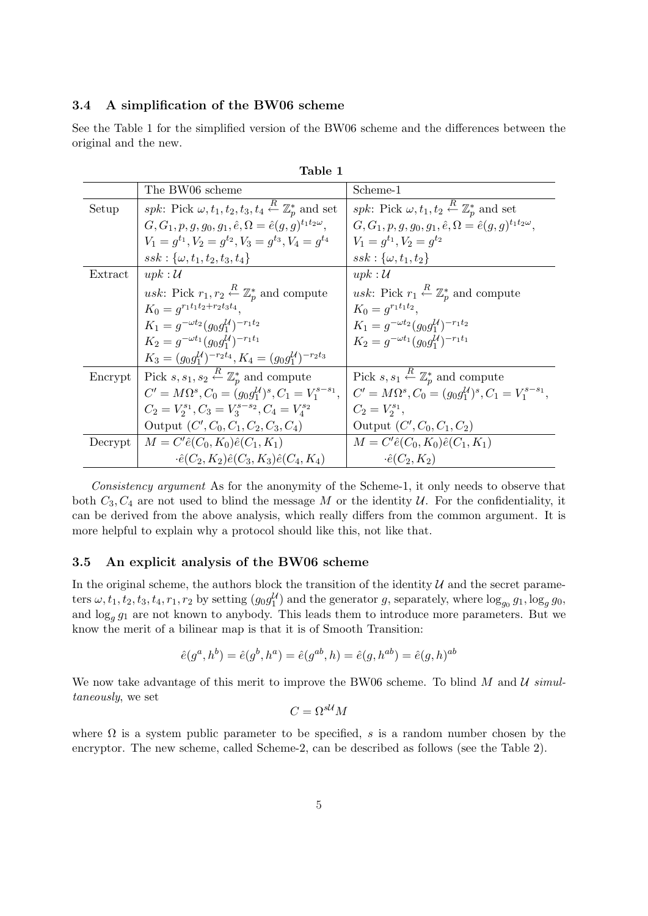### 3.4 A simplification of the BW06 scheme

See the Table 1 for the simplified version of the BW06 scheme and the differences between the original and the new.

|         | The BW06 scheme                                                                                     | Scheme-1                                                                             |
|---------|-----------------------------------------------------------------------------------------------------|--------------------------------------------------------------------------------------|
| Setup   | <i>spk</i> : Pick $\omega, t_1, t_2, t_3, t_4 \stackrel{\kappa}{\leftarrow} \mathbb{Z}_n^*$ and set | <i>spk</i> : Pick $\omega, t_1, t_2 \stackrel{R}{\leftarrow} \mathbb{Z}_p^*$ and set |
|         | $G, G_1, p, g, g_0, g_1, \hat{e}, \Omega = \hat{e}(g, q)^{t_1 t_2 \omega},$                         | $G, G_1, p, q, q_0, q_1, \hat{e}, \Omega = \hat{e}(q, q)^{t_1 t_2 \omega},$          |
|         | $V_1 = q^{t_1}$ , $V_2 = q^{t_2}$ , $V_3 = q^{t_3}$ , $V_4 = q^{t_4}$                               | $V_1 = q^{t_1}$ , $V_2 = q^{t_2}$                                                    |
|         | $ssk: \{\omega, t_1, t_2, t_3, t_4\}$                                                               | $ssk:\{\omega,t_1,t_2\}$                                                             |
| Extract | upk: U                                                                                              | upk:U                                                                                |
|         | <i>usk</i> : Pick $r_1, r_2 \stackrel{R}{\leftarrow} \mathbb{Z}_n^*$ and compute                    | <i>usk</i> : Pick $r_1 \stackrel{R}{\leftarrow} \mathbb{Z}_p^*$ and compute          |
|         | $K_0 = q^{r_1t_1t_2+r_2t_3t_4}.$                                                                    | $K_0 = q^{r_1t_1t_2}$                                                                |
|         | $K_1 = g^{-\omega t_2} (g_0 g_1^{\mathcal{U}})^{-r_1 t_2}$                                          | $K_1 = g^{-\omega t_2} (g_0 g_1^{\mathcal{U}})^{-r_1 t_2}$                           |
|         | $K_2 = g^{-\omega t_1} (g_0 q_1^U)^{-r_1 t_1}$                                                      | $K_2 = q^{-\omega t_1} (q_0 q_1^{\mathcal{U}})^{-r_1 t_1}$                           |
|         | $K_3 = (q_0 q_1^{\mathcal{U}})^{-r_2 t_4}, K_4 = (q_0 q_1^{\mathcal{U}})^{-r_2 t_3}$                |                                                                                      |
| Encrypt | Pick $s, s_1, s_2 \stackrel{R}{\leftarrow} \mathbb{Z}_p^*$ and compute                              | Pick $s, s_1 \stackrel{R}{\leftarrow} \mathbb{Z}_p^*$ and compute                    |
|         | $C' = M\Omega^{s}, C_0 = (g_0 g_1^{\mathcal{U}})^s, C_1 = V_1^{s-s_1},$                             | $C' = M\Omega^{s}, C_0 = (g_0 g_1^{\mathcal{U}})^s, C_1 = V_1^{s-s_1},$              |
|         | $C_2 = V_2^{s_1}, C_3 = V_3^{s-s_2}, C_4 = V_4^{s_2}$                                               | $C_2 = V_2^{s_1},$                                                                   |
|         | Output $(C', C_0, C_1, C_2, C_3, C_4)$                                                              | Output $(C', C_0, C_1, C_2)$                                                         |
| Decrypt | $M = C' \hat{e}(C_0, K_0) \hat{e}(C_1, K_1)$                                                        | $M = C' \hat{e}(C_0, K_0) \hat{e}(C_1, K_1)$                                         |
|         | $\cdot \hat{e}(C_2, K_2)\hat{e}(C_3, K_3)\hat{e}(C_4, K_4)$                                         | $\cdot \hat{e}(C_2, K_2)$                                                            |

| anle |  |
|------|--|
|      |  |

Consistency argument As for the anonymity of the Scheme-1, it only needs to observe that both  $C_3, C_4$  are not used to blind the message M or the identity U. For the confidentiality, it can be derived from the above analysis, which really differs from the common argument. It is more helpful to explain why a protocol should like this, not like that.

#### 3.5 An explicit analysis of the BW06 scheme

In the original scheme, the authors block the transition of the identity  $U$  and the secret parameters  $\omega, t_1, t_2, t_3, t_4, r_1, r_2$  by setting  $(g_0 g_1^{\mathcal{U}})$  and the generator g, separately, where  $\log_{g_0} g_1, \log_g g_0$ , and  $\log_g g_1$  are not known to anybody. This leads them to introduce more parameters. But we know the merit of a bilinear map is that it is of Smooth Transition:

$$
\hat{e}(g^a, h^b) = \hat{e}(g^b, h^a) = \hat{e}(g^{ab}, h) = \hat{e}(g, h^{ab}) = \hat{e}(g, h)^{ab}
$$

We now take advantage of this merit to improve the BW06 scheme. To blind  $M$  and  $U$  simultaneously, we set

$$
C=\Omega^{s\mathcal U}M
$$

where  $\Omega$  is a system public parameter to be specified, s is a random number chosen by the encryptor. The new scheme, called Scheme-2, can be described as follows (see the Table 2).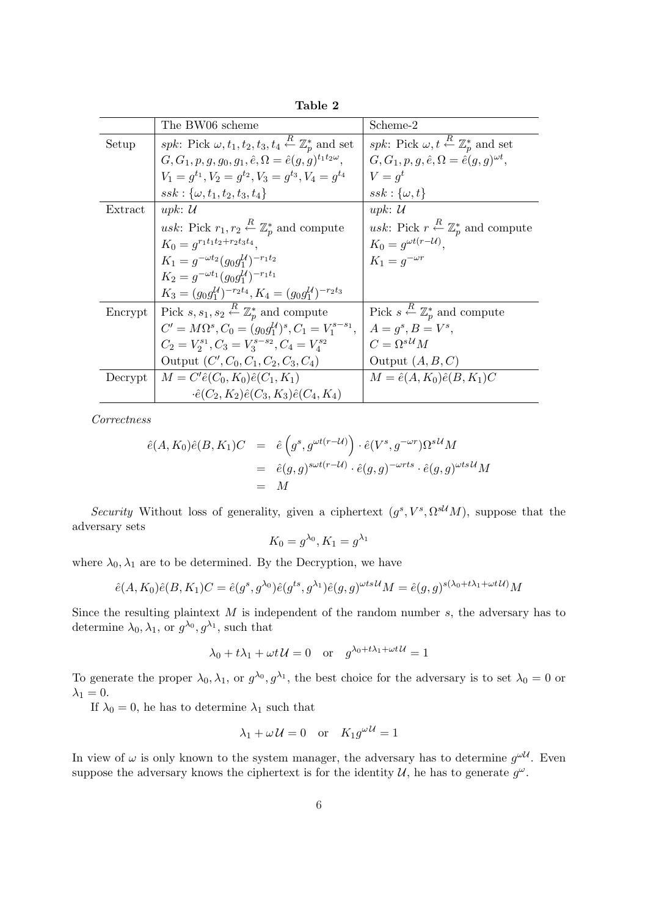|         | The BW06 scheme                                                                        | Scheme-2                                                                  |
|---------|----------------------------------------------------------------------------------------|---------------------------------------------------------------------------|
| Setup   | spk: Pick $\omega, t_1, t_2, t_3, t_4 \stackrel{R}{\leftarrow} \mathbb{Z}_n^*$ and set | spk: Pick $\omega, t \stackrel{R}{\leftarrow} \mathbb{Z}_p^*$ and set     |
|         | $G, G_1, p, g, g_0, g_1, \hat{e}, \Omega = \hat{e}(g, g)^{t_1 t_2 \omega},$            | $G, G_1, p, q, \hat{e}, \Omega = \hat{e}(q, q)^{\omega t},$               |
|         | $V_1 = q^{t_1}, V_2 = q^{t_2}, V_3 = q^{t_3}, V_4 = q^{t_4}$                           | $V=q^t$                                                                   |
|         | $ssk: \{\omega, t_1, t_2, t_3, t_4\}$                                                  | $ssk:\{\omega,t\}$                                                        |
| Extract | upk: $\mathcal U$                                                                      | upk: $\mathcal U$                                                         |
|         | <i>usk</i> : Pick $r_1, r_2 \stackrel{R}{\leftarrow} \mathbb{Z}_p^*$ and compute       | <i>usk</i> : Pick $r \stackrel{R}{\leftarrow} \mathbb{Z}_n^*$ and compute |
|         | $K_0 = q^{r_1t_1t_2+r_2t_3t_4}.$                                                       | $K_0 = g^{\omega t (r - \mathcal{U})}$                                    |
|         | $K_1 = g^{-\omega t_2} (g_0 g_1^{\mathcal{U}})^{-r_1 t_2}$                             | $K_1 = q^{-\omega r}$                                                     |
|         | $K_2 = q^{-\omega t_1} (q_0 q_1^{\mathcal{U}})^{-r_1 t_1}$                             |                                                                           |
|         | $K_3 = (q_0 q_1^{\mathcal{U}})^{-r_2 t_4}, K_4 = (q_0 q_1^{\mathcal{U}})^{-r_2 t_3}$   |                                                                           |
| Encrypt | Pick $s, s_1, s_2 \stackrel{R}{\leftarrow} \mathbb{Z}_p^*$ and compute                 | Pick $s \stackrel{R}{\leftarrow} \mathbb{Z}_p^*$ and compute              |
|         | $C' = M\Omega^{s}, C_0 = (q_0q_1^{\mathcal{U}})^{s}, C_1 = V_1^{s-s_1},$               | $A=q^s, B=V^s,$                                                           |
|         | $C_2 = V_2^{s_1}, C_3 = V_3^{s-s_2}, C_4 = V_4^{s_2}$                                  | $C = \Omega^{s\mathcal{U}}M$                                              |
|         | Output $(C', C_0, C_1, C_2, C_3, C_4)$                                                 | Output $(A, B, C)$                                                        |
| Decrypt | $M = C' \hat{e}(C_0, K_0) \hat{e}(C_1, K_1)$                                           | $M = \hat{e}(A, K_0)\hat{e}(B, K_1)C$                                     |
|         | $\cdot \hat{e}(C_2, K_2)\hat{e}(C_3, K_3)\hat{e}(C_4, K_4)$                            |                                                                           |

Table 2

Correctness

$$
\begin{aligned}\n\hat{e}(A,K_0)\hat{e}(B,K_1)C &= \hat{e}\left(g^s, g^{\omega t(r-\mathcal{U})}\right) \cdot \hat{e}(V^s, g^{-\omega r})\Omega^{s\mathcal{U}}M \\
&= \hat{e}(g,g)^{s\omega t(r-\mathcal{U})} \cdot \hat{e}(g,g)^{-\omega rts} \cdot \hat{e}(g,g)^{\omega ts\mathcal{U}}M \\
&= M\n\end{aligned}
$$

Security Without loss of generality, given a ciphertext  $(g^s, V^s, \Omega^{s\mathcal{U}}M)$ , suppose that the adversary sets

$$
K_0 = g^{\lambda_0}, K_1 = g^{\lambda_1}
$$

where  $\lambda_0, \lambda_1$  are to be determined. By the Decryption, we have

$$
\hat{e}(A, K_0)\hat{e}(B, K_1)C = \hat{e}(g^s, g^{\lambda_0})\hat{e}(g^{ts}, g^{\lambda_1})\hat{e}(g, g)^{\omega ts\mathcal{U}}M = \hat{e}(g, g)^{s(\lambda_0 + t\lambda_1 + \omega t\mathcal{U})}M
$$

Since the resulting plaintext  $M$  is independent of the random number  $s$ , the adversary has to determine  $\lambda_0, \lambda_1$ , or  $g^{\lambda_0}, g^{\lambda_1}$ , such that

$$
\lambda_0 + t\lambda_1 + \omega t \mathcal{U} = 0 \quad \text{or} \quad g^{\lambda_0 + t\lambda_1 + \omega t \mathcal{U}} = 1
$$

To generate the proper  $\lambda_0, \lambda_1$ , or  $g^{\lambda_0}, g^{\lambda_1}$ , the best choice for the adversary is to set  $\lambda_0 = 0$  or  $\lambda_1 = 0.$ 

If  $\lambda_0 = 0$ , he has to determine  $\lambda_1$  such that

$$
\lambda_1 + \omega \mathcal{U} = 0 \quad \text{or} \quad K_1 g^{\omega \mathcal{U}} = 1
$$

In view of  $\omega$  is only known to the system manager, the adversary has to determine  $g^{\omega U}$ . Even suppose the adversary knows the ciphertext is for the identity  $\mathcal{U}$ , he has to generate  $g^{\omega}$ .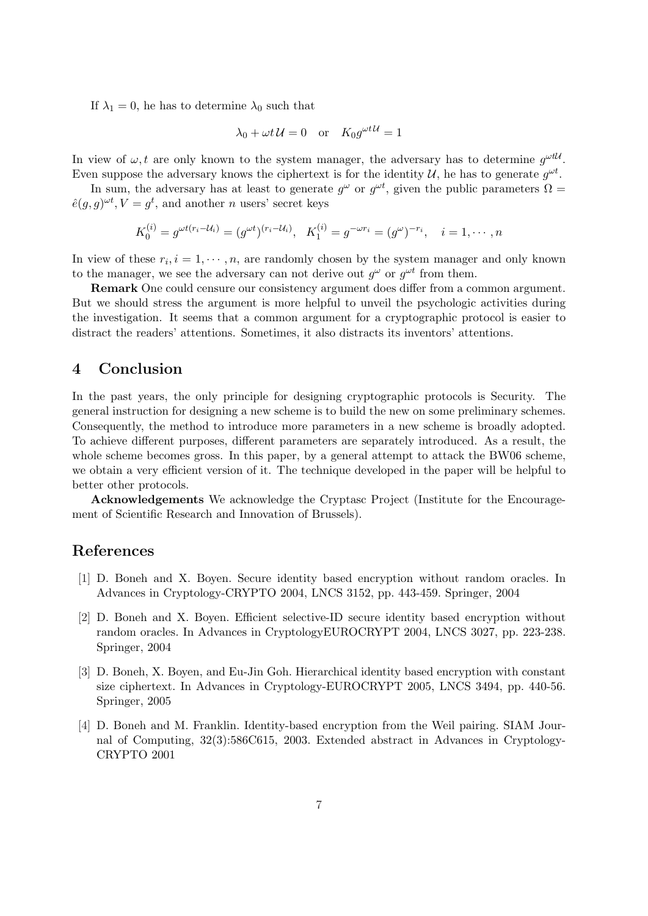If  $\lambda_1 = 0$ , he has to determine  $\lambda_0$  such that

$$
\lambda_0 + \omega t \mathcal{U} = 0 \quad \text{or} \quad K_0 g^{\omega t \mathcal{U}} = 1
$$

In view of  $\omega, t$  are only known to the system manager, the adversary has to determine  $g^{\omega t \mathcal{U}}$ . Even suppose the adversary knows the ciphertext is for the identity  $\mathcal{U}$ , he has to generate  $g^{\omega t}$ .

In sum, the adversary has at least to generate  $g^{\omega}$  or  $g^{\omega t}$ , given the public parameters  $\Omega =$  $\hat{e}(g, g)^{\omega t}$ ,  $V = g^t$ , and another *n* users' secret keys

$$
K_0^{(i)} = g^{\omega t (r_i - \mathcal{U}_i)} = (g^{\omega t})^{(r_i - \mathcal{U}_i)}, \quad K_1^{(i)} = g^{-\omega r_i} = (g^{\omega})^{-r_i}, \quad i = 1, \cdots, n
$$

In view of these  $r_i, i = 1, \dots, n$ , are randomly chosen by the system manager and only known to the manager, we see the adversary can not derive out  $g^{\omega}$  or  $g^{\omega t}$  from them.

Remark One could censure our consistency argument does differ from a common argument. But we should stress the argument is more helpful to unveil the psychologic activities during the investigation. It seems that a common argument for a cryptographic protocol is easier to distract the readers' attentions. Sometimes, it also distracts its inventors' attentions.

### 4 Conclusion

In the past years, the only principle for designing cryptographic protocols is Security. The general instruction for designing a new scheme is to build the new on some preliminary schemes. Consequently, the method to introduce more parameters in a new scheme is broadly adopted. To achieve different purposes, different parameters are separately introduced. As a result, the whole scheme becomes gross. In this paper, by a general attempt to attack the BW06 scheme, we obtain a very efficient version of it. The technique developed in the paper will be helpful to better other protocols.

Acknowledgements We acknowledge the Cryptasc Project (Institute for the Encouragement of Scientific Research and Innovation of Brussels).

### References

- [1] D. Boneh and X. Boyen. Secure identity based encryption without random oracles. In Advances in Cryptology-CRYPTO 2004, LNCS 3152, pp. 443-459. Springer, 2004
- [2] D. Boneh and X. Boyen. Efficient selective-ID secure identity based encryption without random oracles. In Advances in CryptologyEUROCRYPT 2004, LNCS 3027, pp. 223-238. Springer, 2004
- [3] D. Boneh, X. Boyen, and Eu-Jin Goh. Hierarchical identity based encryption with constant size ciphertext. In Advances in Cryptology-EUROCRYPT 2005, LNCS 3494, pp. 440-56. Springer, 2005
- [4] D. Boneh and M. Franklin. Identity-based encryption from the Weil pairing. SIAM Journal of Computing, 32(3):586C615, 2003. Extended abstract in Advances in Cryptology-CRYPTO 2001